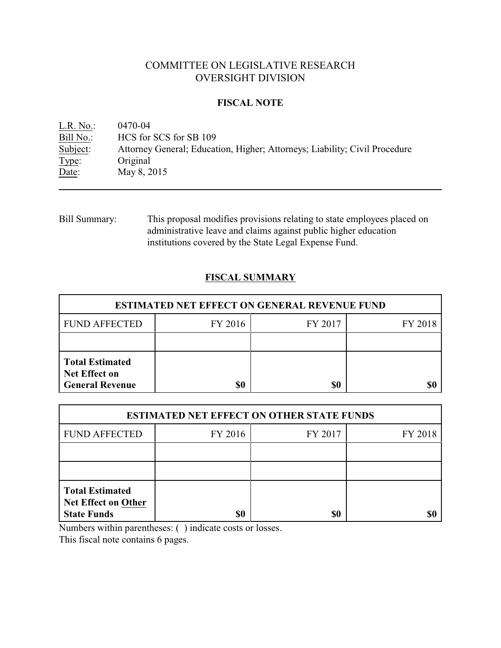# COMMITTEE ON LEGISLATIVE RESEARCH OVERSIGHT DIVISION

## **FISCAL NOTE**

<u>L.R. No.</u>: 0470-04<br>Bill No.: HCS for HCS for SCS for SB 109 Subject: Attorney General; Education, Higher; Attorneys; Liability; Civil Procedure Type: Original Date: May 8, 2015

Bill Summary: This proposal modifies provisions relating to state employees placed on administrative leave and claims against public higher education institutions covered by the State Legal Expense Fund.

# **FISCAL SUMMARY**

| <b>ESTIMATED NET EFFECT ON GENERAL REVENUE FUND</b>                      |         |         |         |  |
|--------------------------------------------------------------------------|---------|---------|---------|--|
| <b>FUND AFFECTED</b>                                                     | FY 2016 | FY 2017 | FY 2018 |  |
|                                                                          |         |         |         |  |
| <b>Total Estimated</b><br><b>Net Effect on</b><br><b>General Revenue</b> | \$0     | \$0     |         |  |

| <b>ESTIMATED NET EFFECT ON OTHER STATE FUNDS</b>                           |         |         |         |  |
|----------------------------------------------------------------------------|---------|---------|---------|--|
| <b>FUND AFFECTED</b>                                                       | FY 2016 | FY 2017 | FY 2018 |  |
|                                                                            |         |         |         |  |
|                                                                            |         |         |         |  |
| <b>Total Estimated</b><br><b>Net Effect on Other</b><br><b>State Funds</b> | \$0     | \$0     |         |  |

Numbers within parentheses: ( ) indicate costs or losses.

This fiscal note contains 6 pages.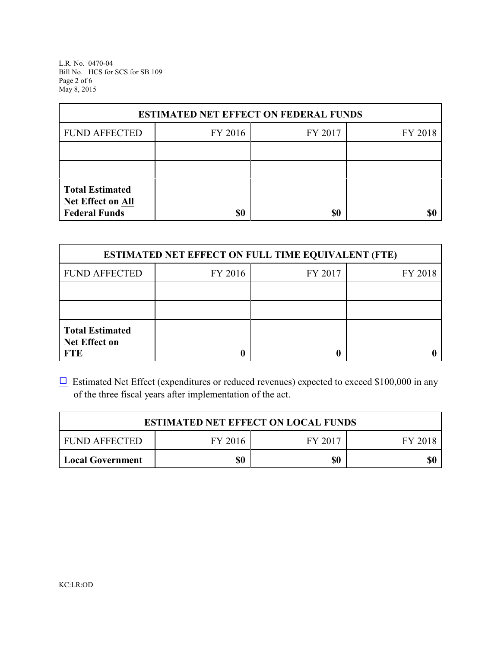L.R. No. 0470-04 Bill No. HCS for SCS for SB 109 Page 2 of 6 May 8, 2015

| <b>ESTIMATED NET EFFECT ON FEDERAL FUNDS</b>                        |         |         |         |  |
|---------------------------------------------------------------------|---------|---------|---------|--|
| <b>FUND AFFECTED</b>                                                | FY 2016 | FY 2017 | FY 2018 |  |
|                                                                     |         |         |         |  |
|                                                                     |         |         |         |  |
| <b>Total Estimated</b><br>Net Effect on All<br><b>Federal Funds</b> | \$0     | \$0     |         |  |

| <b>ESTIMATED NET EFFECT ON FULL TIME EQUIVALENT (FTE)</b>    |         |         |         |  |
|--------------------------------------------------------------|---------|---------|---------|--|
| <b>FUND AFFECTED</b>                                         | FY 2016 | FY 2017 | FY 2018 |  |
|                                                              |         |         |         |  |
|                                                              |         |         |         |  |
| <b>Total Estimated</b><br><b>Net Effect on</b><br><b>FTE</b> |         |         |         |  |

 $\Box$  Estimated Net Effect (expenditures or reduced revenues) expected to exceed \$100,000 in any of the three fiscal years after implementation of the act.

| <b>ESTIMATED NET EFFECT ON LOCAL FUNDS</b> |         |         |         |
|--------------------------------------------|---------|---------|---------|
| <b>FUND AFFECTED</b>                       | FY 2016 | FY 2017 | FY 2018 |
| <b>Local Government</b>                    | \$0     | \$0     | \$0     |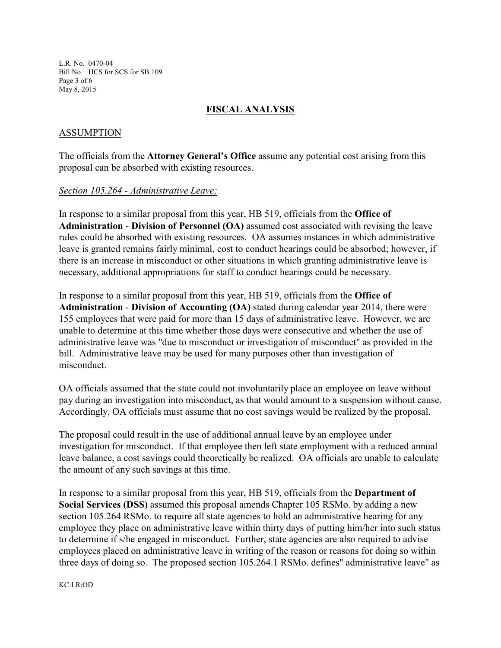L.R. No. 0470-04 Bill No. HCS for SCS for SB 109 Page 3 of 6 May 8, 2015

## **FISCAL ANALYSIS**

## ASSUMPTION

The officials from the **Attorney General's Office** assume any potential cost arising from this proposal can be absorbed with existing resources.

#### *Section 105.264 - Administrative Leave;*

In response to a similar proposal from this year, HB 519, officials from the **Office of Administration** - **Division of Personnel (OA)** assumed cost associated with revising the leave rules could be absorbed with existing resources. OA assumes instances in which administrative leave is granted remains fairly minimal, cost to conduct hearings could be absorbed; however, if there is an increase in misconduct or other situations in which granting administrative leave is necessary, additional appropriations for staff to conduct hearings could be necessary.

In response to a similar proposal from this year, HB 519, officials from the **Office of Administration** - **Division of Accounting (OA)** stated during calendar year 2014, there were 155 employees that were paid for more than 15 days of administrative leave. However, we are unable to determine at this time whether those days were consecutive and whether the use of administrative leave was "due to misconduct or investigation of misconduct" as provided in the bill. Administrative leave may be used for many purposes other than investigation of misconduct.

OA officials assumed that the state could not involuntarily place an employee on leave without pay during an investigation into misconduct, as that would amount to a suspension without cause. Accordingly, OA officials must assume that no cost savings would be realized by the proposal.

The proposal could result in the use of additional annual leave by an employee under investigation for misconduct. If that employee then left state employment with a reduced annual leave balance, a cost savings could theoretically be realized. OA officials are unable to calculate the amount of any such savings at this time.

In response to a similar proposal from this year, HB 519, officials from the **Department of Social Services (DSS)** assumed this proposal amends Chapter 105 RSMo. by adding a new section 105.264 RSMo. to require all state agencies to hold an administrative hearing for any employee they place on administrative leave within thirty days of putting him/her into such status to determine if s/he engaged in misconduct. Further, state agencies are also required to advise employees placed on administrative leave in writing of the reason or reasons for doing so within three days of doing so. The proposed section 105.264.1 RSMo. defines" administrative leave" as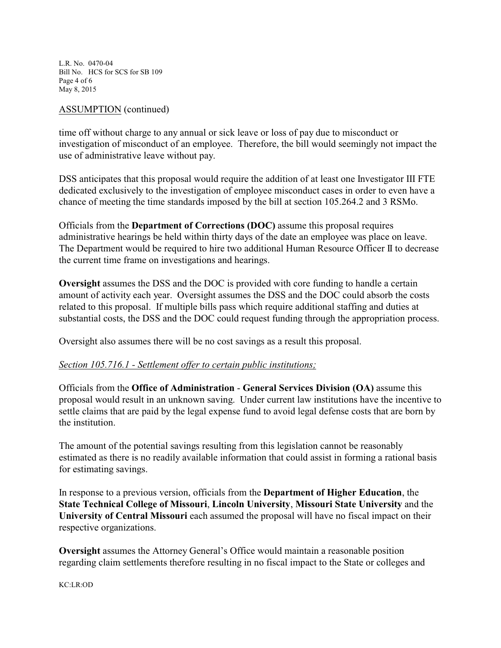L.R. No. 0470-04 Bill No. HCS for SCS for SB 109 Page 4 of 6 May 8, 2015

#### ASSUMPTION (continued)

time off without charge to any annual or sick leave or loss of pay due to misconduct or investigation of misconduct of an employee. Therefore, the bill would seemingly not impact the use of administrative leave without pay.

DSS anticipates that this proposal would require the addition of at least one Investigator III FTE dedicated exclusively to the investigation of employee misconduct cases in order to even have a chance of meeting the time standards imposed by the bill at section 105.264.2 and 3 RSMo.

Officials from the **Department of Corrections (DOC)** assume this proposal requires administrative hearings be held within thirty days of the date an employee was place on leave. The Department would be required to hire two additional Human Resource Officer II to decrease the current time frame on investigations and hearings.

**Oversight** assumes the DSS and the DOC is provided with core funding to handle a certain amount of activity each year. Oversight assumes the DSS and the DOC could absorb the costs related to this proposal. If multiple bills pass which require additional staffing and duties at substantial costs, the DSS and the DOC could request funding through the appropriation process.

Oversight also assumes there will be no cost savings as a result this proposal.

#### *Section 105.716.1 - Settlement offer to certain public institutions;*

Officials from the **Office of Administration** - **General Services Division (OA)** assume this proposal would result in an unknown saving. Under current law institutions have the incentive to settle claims that are paid by the legal expense fund to avoid legal defense costs that are born by the institution.

The amount of the potential savings resulting from this legislation cannot be reasonably estimated as there is no readily available information that could assist in forming a rational basis for estimating savings.

In response to a previous version, officials from the **Department of Higher Education**, the **State Technical College of Missouri**, **Lincoln University**, **Missouri State University** and the **University of Central Missouri** each assumed the proposal will have no fiscal impact on their respective organizations.

**Oversight** assumes the Attorney General's Office would maintain a reasonable position regarding claim settlements therefore resulting in no fiscal impact to the State or colleges and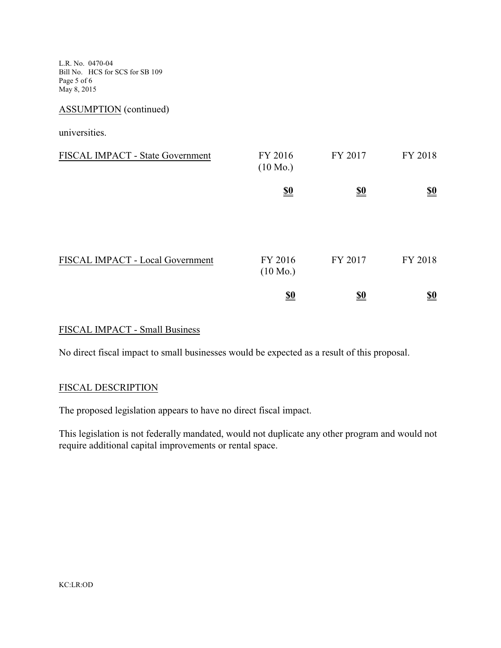L.R. No. 0470-04 Bill No. HCS for SCS for SB 109 Page 5 of 6 May 8, 2015

ASSUMPTION (continued)

universities.

| FISCAL IMPACT - State Government | FY 2016<br>$(10 \text{ Mo.})$ | FY 2017    | FY 2018                       |
|----------------------------------|-------------------------------|------------|-------------------------------|
|                                  | $\underline{\underline{\$0}}$ | <u>\$0</u> | $\underline{\underline{\$0}}$ |
| FISCAL IMPACT - Local Government | FY 2016                       | FY 2017    | FY 2018                       |
|                                  | $(10 \text{ Mo.})$            |            |                               |
|                                  | <u>\$0</u>                    | <u>\$0</u> | $\underline{\underline{\$0}}$ |

## FISCAL IMPACT - Small Business

No direct fiscal impact to small businesses would be expected as a result of this proposal.

#### FISCAL DESCRIPTION

The proposed legislation appears to have no direct fiscal impact.

This legislation is not federally mandated, would not duplicate any other program and would not require additional capital improvements or rental space.